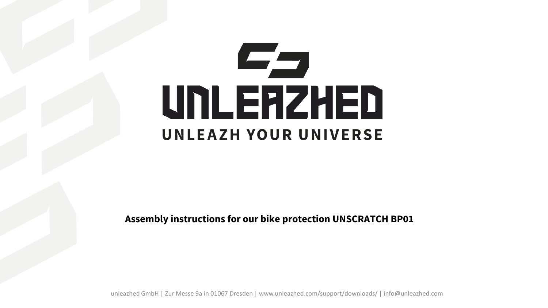## Eg UNLERZHED UNLEAZH YOUR UNIVERSE

**Assembly instructions for our bike protection UNSCRATCH BP01**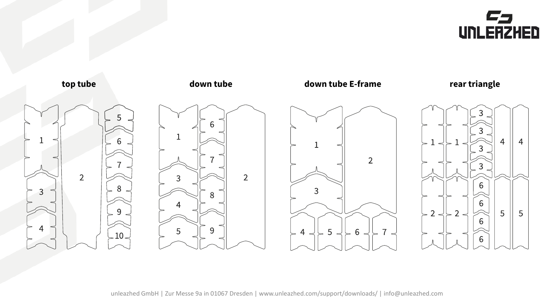

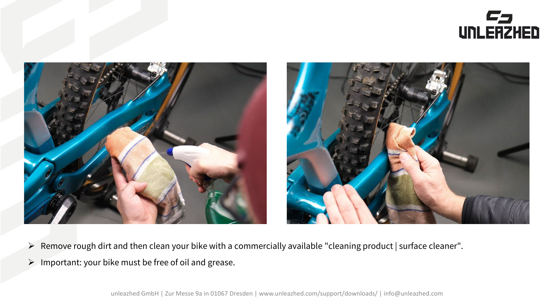



- Remove rough dirt and then clean your bike with a commercially available "cleaning product | surface cleaner".
- $\triangleright$  Important: your bike must be free of oil and grease.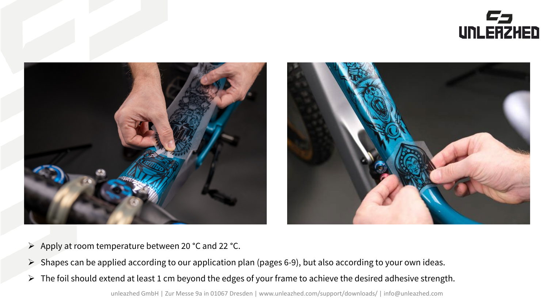



- $\triangleright$  Apply at room temperature between 20 °C and 22 °C.
- $\triangleright$  Shapes can be applied according to our application plan (pages 6-9), but also according to your own ideas.
- $\triangleright$  The foil should extend at least 1 cm beyond the edges of your frame to achieve the desired adhesive strength.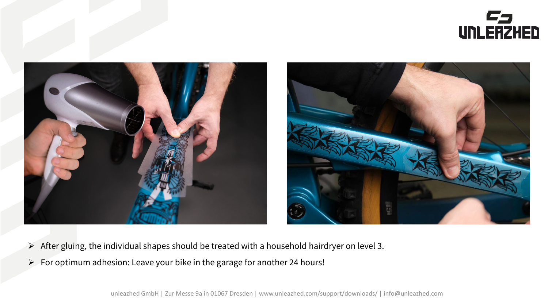



- $\triangleright$  After gluing, the individual shapes should be treated with a household hairdryer on level 3.
- $\triangleright$  For optimum adhesion: Leave your bike in the garage for another 24 hours!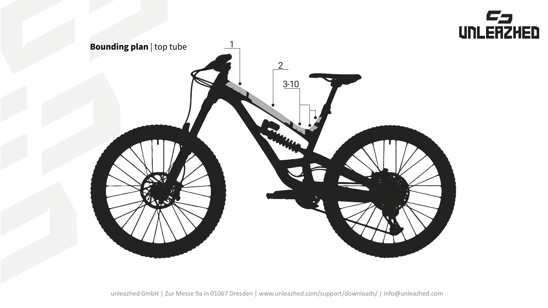

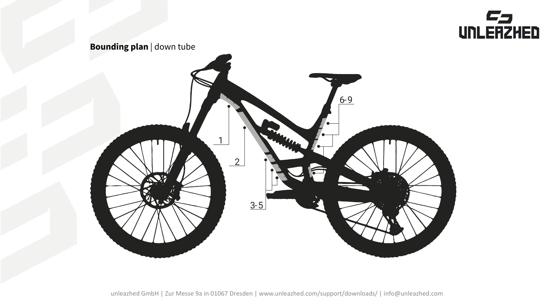

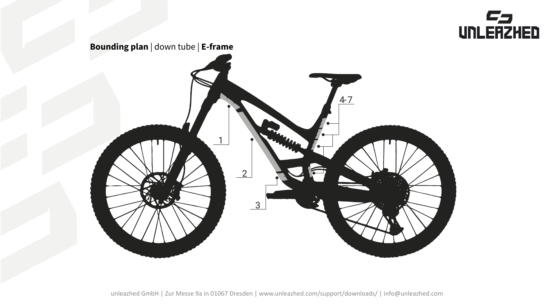

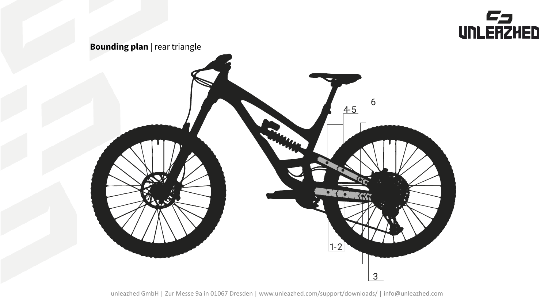